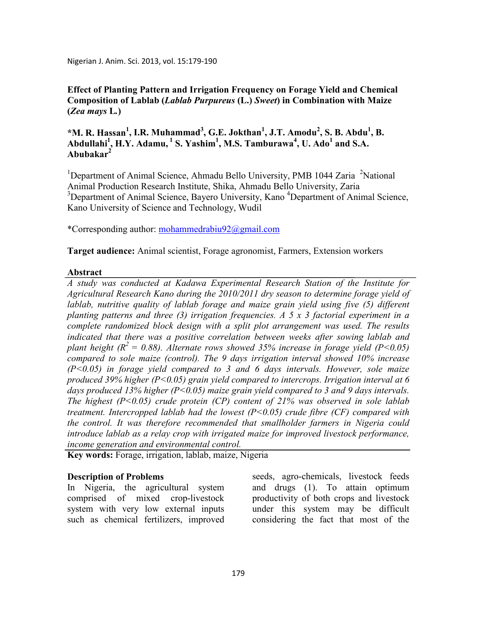Nigerian J. Anim. Sci. 2013, vol. 15:179-190

# **Effect of Planting Pattern and Irrigation Frequency on Forage Yield and Chemical Composition of Lablab (***Lablab Purpureus* **(L.)** *Sweet***) in Combination with Maize (***Zea mays* **L***.***)**

# **\*M. R. Hassan<sup>1</sup> , I.R. Muhammad<sup>3</sup> , G.E. Jokthan<sup>1</sup> , J.T. Amodu<sup>2</sup> , S. B. Abdu<sup>1</sup> , B. Abdullahi<sup>1</sup> , H.Y. Adamu,<sup>1</sup> S. Yashim<sup>1</sup> , M.S. Tamburawa<sup>4</sup> , U. Ado<sup>1</sup> and S.A. Abubakar<sup>2</sup>**

<sup>1</sup>Department of Animal Science, Ahmadu Bello University, PMB 1044 Zaria <sup>2</sup>National Animal Production Research Institute, Shika, Ahmadu Bello University, Zaria <sup>3</sup>Department of Animal Science, Bayero University, Kano<sup>4</sup>Department of Animal Science, Kano University of Science and Technology, Wudil

\*Corresponding author: mohammedrabiu92@gmail.com

**Target audience:** Animal scientist, Forage agronomist, Farmers, Extension workers

# **Abstract**

*A study was conducted at Kadawa Experimental Research Station of the Institute for Agricultural Research Kano during the 2010/2011 dry season to determine forage yield of lablab, nutritive quality of lablab forage and maize grain yield using five (5) different planting patterns and three (3) irrigation frequencies. A 5 x 3 factorial experiment in a complete randomized block design with a split plot arrangement was used. The results indicated that there was a positive correlation between weeks after sowing lablab and plant height (* $R^2 = 0.88$ *). Alternate rows showed 35% increase in forage yield (* $P < 0.05$ *) compared to sole maize (control). The 9 days irrigation interval showed 10% increase (P<0.05) in forage yield compared to 3 and 6 days intervals. However, sole maize produced 39% higher (P<0.05) grain yield compared to intercrops. Irrigation interval at 6 days produced 13% higher (P<0.05) maize grain yield compared to 3 and 9 days intervals. The highest (P<0.05) crude protein (CP) content of 21% was observed in sole lablab treatment. Intercropped lablab had the lowest (P<0.05) crude fibre (CF) compared with the control. It was therefore recommended that smallholder farmers in Nigeria could introduce lablab as a relay crop with irrigated maize for improved livestock performance, income generation and environmental control.* 

**Key words:** Forage, irrigation, lablab, maize, Nigeria

## **Description of Problems**

In Nigeria, the agricultural system comprised of mixed crop-livestock system with very low external inputs such as chemical fertilizers, improved

seeds, agro-chemicals, livestock feeds and drugs (1). To attain optimum productivity of both crops and livestock under this system may be difficult considering the fact that most of the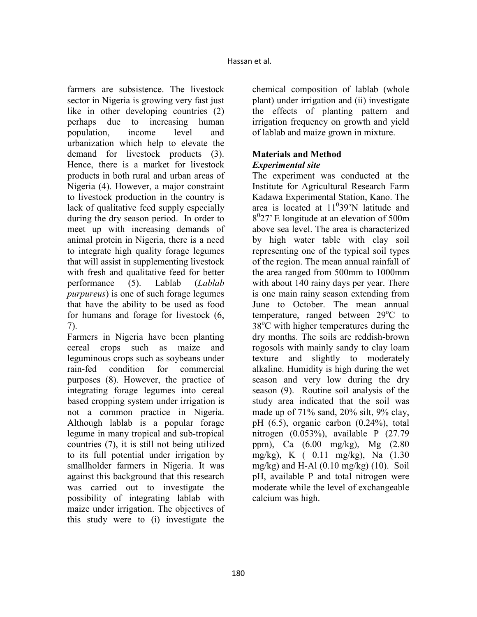farmers are subsistence. The livestock sector in Nigeria is growing very fast just like in other developing countries (2) perhaps due to increasing human population, income level and urbanization which help to elevate the demand for livestock products (3). Hence, there is a market for livestock products in both rural and urban areas of Nigeria (4). However, a major constraint to livestock production in the country is lack of qualitative feed supply especially during the dry season period. In order to meet up with increasing demands of animal protein in Nigeria, there is a need to integrate high quality forage legumes that will assist in supplementing livestock with fresh and qualitative feed for better performance (5). Lablab (*Lablab purpureus*) is one of such forage legumes that have the ability to be used as food for humans and forage for livestock (6, 7).

Farmers in Nigeria have been planting cereal crops such as maize and leguminous crops such as soybeans under rain-fed condition for commercial purposes (8). However, the practice of integrating forage legumes into cereal based cropping system under irrigation is not a common practice in Nigeria. Although lablab is a popular forage legume in many tropical and sub-tropical countries (7), it is still not being utilized to its full potential under irrigation by smallholder farmers in Nigeria. It was against this background that this research was carried out to investigate the possibility of integrating lablab with maize under irrigation. The objectives of this study were to (i) investigate the

chemical composition of lablab (whole plant) under irrigation and (ii) investigate the effects of planting pattern and irrigation frequency on growth and yield of lablab and maize grown in mixture.

# **Materials and Method**  *Experimental site*

The experiment was conducted at the Institute for Agricultural Research Farm Kadawa Experimental Station, Kano. The area is located at  $11^039'N$  latitude and 8 0 27' E longitude at an elevation of 500m above sea level. The area is characterized by high water table with clay soil representing one of the typical soil types of the region. The mean annual rainfall of the area ranged from 500mm to 1000mm with about 140 rainy days per year. There is one main rainy season extending from June to October. The mean annual temperature, ranged between  $29^{\circ}$ C to  $38^{\circ}$ C with higher temperatures during the dry months. The soils are reddish-brown rogosols with mainly sandy to clay loam texture and slightly to moderately alkaline. Humidity is high during the wet season and very low during the dry season (9). Routine soil analysis of the study area indicated that the soil was made up of 71% sand, 20% silt, 9% clay, pH (6.5), organic carbon (0.24%), total nitrogen (0.053%), available P (27.79 ppm), Ca (6.00 mg/kg), Mg (2.80 mg/kg), K ( 0.11 mg/kg), Na (1.30 mg/kg) and H-Al  $(0.10 \text{ mg/kg})$   $(10)$ . Soil pH, available P and total nitrogen were moderate while the level of exchangeable calcium was high.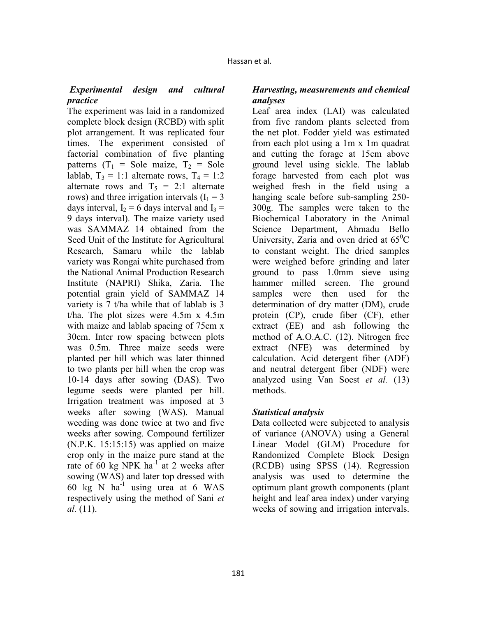# *Experimental design and cultural practice*

The experiment was laid in a randomized complete block design (RCBD) with split plot arrangement. It was replicated four times. The experiment consisted of factorial combination of five planting patterns  $(T_1 = \text{Sole} \text{ maize}, T_2 = \text{Sole}$ lablab,  $T_3 = 1:1$  alternate rows,  $T_4 = 1:2$ alternate rows and  $T_5 = 2:1$  alternate rows) and three irrigation intervals  $(I_1 = 3)$ days interval,  $I_2 = 6$  days interval and  $I_3 =$ 9 days interval). The maize variety used was SAMMAZ 14 obtained from the Seed Unit of the Institute for Agricultural Research, Samaru while the lablab variety was Rongai white purchased from the National Animal Production Research Institute (NAPRI) Shika, Zaria. The potential grain yield of SAMMAZ 14 variety is 7 t/ha while that of lablab is 3 t/ha. The plot sizes were 4.5m x 4.5m with maize and lablab spacing of 75cm x 30cm. Inter row spacing between plots was 0.5m. Three maize seeds were planted per hill which was later thinned to two plants per hill when the crop was 10-14 days after sowing (DAS). Two legume seeds were planted per hill. Irrigation treatment was imposed at 3 weeks after sowing (WAS). Manual weeding was done twice at two and five weeks after sowing. Compound fertilizer (N.P.K. 15:15:15) was applied on maize crop only in the maize pure stand at the rate of 60 kg NPK ha $^{-1}$  at 2 weeks after sowing (WAS) and later top dressed with 60 kg N ha<sup>-1</sup> using urea at 6 WAS respectively using the method of Sani *et al.* (11).

# *Harvesting, measurements and chemical analyses*

Leaf area index (LAI) was calculated from five random plants selected from the net plot. Fodder yield was estimated from each plot using a 1m x 1m quadrat and cutting the forage at 15cm above ground level using sickle. The lablab forage harvested from each plot was weighed fresh in the field using a hanging scale before sub-sampling 250- 300g. The samples were taken to the Biochemical Laboratory in the Animal Science Department, Ahmadu Bello University, Zaria and oven dried at  $65^{\circ}$ C to constant weight. The dried samples were weighed before grinding and later ground to pass 1.0mm sieve using hammer milled screen. The ground samples were then used for the determination of dry matter (DM), crude protein (CP), crude fiber (CF), ether extract (EE) and ash following the method of A.O.A.C. (12). Nitrogen free extract (NFE) was determined by calculation. Acid detergent fiber (ADF) and neutral detergent fiber (NDF) were analyzed using Van Soest *et al.* (13) methods.

# *Statistical analysis*

Data collected were subjected to analysis of variance (ANOVA) using a General Linear Model (GLM) Procedure for Randomized Complete Block Design (RCDB) using SPSS (14). Regression analysis was used to determine the optimum plant growth components (plant height and leaf area index) under varying weeks of sowing and irrigation intervals.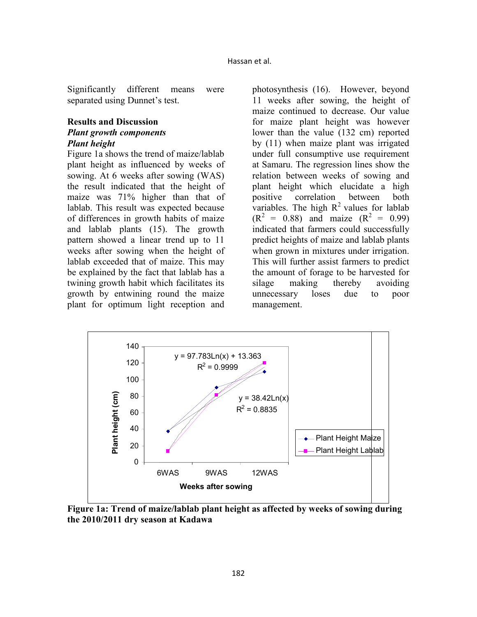Significantly different means were separated using Dunnet's test.

## **Results and Discussion**  *Plant growth components Plant height*

Figure 1a shows the trend of maize/lablab plant height as influenced by weeks of sowing. At 6 weeks after sowing (WAS) the result indicated that the height of maize was 71% higher than that of lablab. This result was expected because of differences in growth habits of maize and lablab plants (15). The growth pattern showed a linear trend up to 11 weeks after sowing when the height of lablab exceeded that of maize. This may be explained by the fact that lablab has a twining growth habit which facilitates its growth by entwining round the maize plant for optimum light reception and

photosynthesis (16). However, beyond 11 weeks after sowing, the height of maize continued to decrease. Our value for maize plant height was however lower than the value (132 cm) reported by (11) when maize plant was irrigated under full consumptive use requirement at Samaru. The regression lines show the relation between weeks of sowing and plant height which elucidate a high positive correlation between both variables. The high  $R^2$  values for lablab  $(R^2 = 0.88)$  and maize  $(R^2 = 0.99)$ indicated that farmers could successfully predict heights of maize and lablab plants when grown in mixtures under irrigation. This will further assist farmers to predict the amount of forage to be harvested for silage making thereby avoiding unnecessary loses due to poor management.



**Figure 1a: Trend of maize/lablab plant height as affected by weeks of sowing during the 2010/2011 dry season at Kadawa**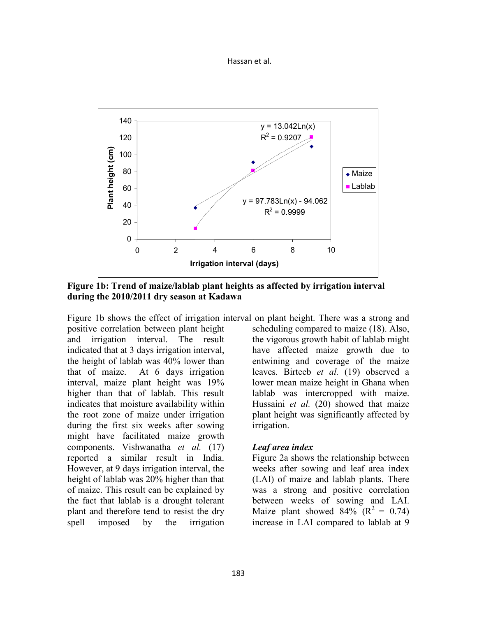#### Hassan et al.



**Figure 1b: Trend of maize/lablab plant heights as affected by irrigation interval during the 2010/2011 dry season at Kadawa** 

Figure 1b shows the effect of irrigation interval on plant height. There was a strong and positive correlation between plant height and irrigation interval. The result indicated that at 3 days irrigation interval, the height of lablab was 40% lower than that of maize. At 6 days irrigation interval, maize plant height was 19% higher than that of lablab. This result indicates that moisture availability within the root zone of maize under irrigation during the first six weeks after sowing might have facilitated maize growth components. Vishwanatha *et al.* (17) reported a similar result in India. However, at 9 days irrigation interval, the height of lablab was 20% higher than that of maize. This result can be explained by the fact that lablab is a drought tolerant plant and therefore tend to resist the dry spell imposed by the irrigation

scheduling compared to maize (18). Also, the vigorous growth habit of lablab might have affected maize growth due to entwining and coverage of the maize leaves. Birteeb *et al.* (19) observed a lower mean maize height in Ghana when lablab was intercropped with maize. Hussaini *et al.* (20) showed that maize plant height was significantly affected by irrigation.

### *Leaf area index*

Figure 2a shows the relationship between weeks after sowing and leaf area index (LAI) of maize and lablab plants. There was a strong and positive correlation between weeks of sowing and LAI. Maize plant showed  $84\%$  ( $R^2 = 0.74$ ) increase in LAI compared to lablab at 9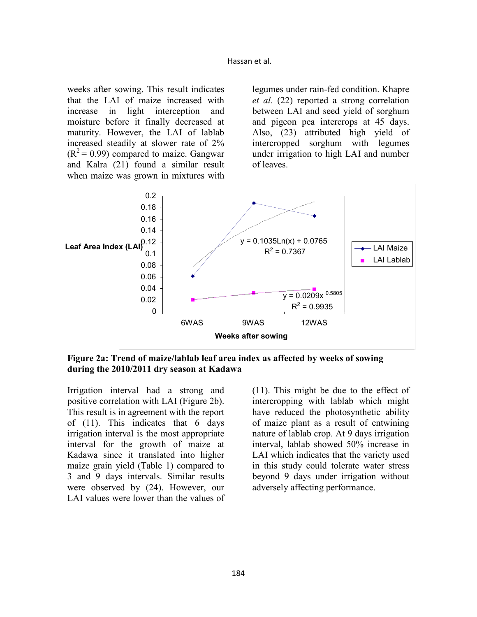weeks after sowing. This result indicates that the LAI of maize increased with increase in light interception and moisture before it finally decreased at maturity. However, the LAI of lablab increased steadily at slower rate of 2%  $(R<sup>2</sup>= 0.99)$  compared to maize. Gangwar and Kalra (21) found a similar result when maize was grown in mixtures with

legumes under rain-fed condition. Khapre *et al.* (22) reported a strong correlation between LAI and seed yield of sorghum and pigeon pea intercrops at 45 days. Also, (23) attributed high yield of intercropped sorghum with legumes under irrigation to high LAI and number of leaves.



**Figure 2a: Trend of maize/lablab leaf area index as affected by weeks of sowing during the 2010/2011 dry season at Kadawa** 

Irrigation interval had a strong and positive correlation with LAI (Figure 2b). This result is in agreement with the report of (11). This indicates that 6 days irrigation interval is the most appropriate interval for the growth of maize at Kadawa since it translated into higher maize grain yield (Table 1) compared to 3 and 9 days intervals. Similar results were observed by (24). However, our LAI values were lower than the values of

(11). This might be due to the effect of intercropping with lablab which might have reduced the photosynthetic ability of maize plant as a result of entwining nature of lablab crop. At 9 days irrigation interval, lablab showed 50% increase in LAI which indicates that the variety used in this study could tolerate water stress beyond 9 days under irrigation without adversely affecting performance.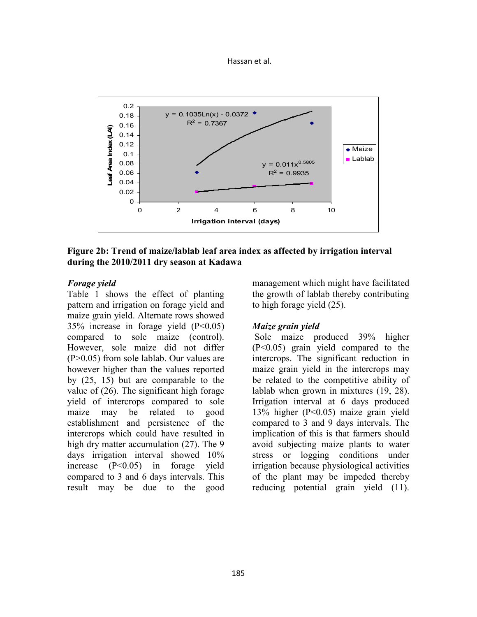



### **Figure 2b: Trend of maize/lablab leaf area index as affected by irrigation interval during the 2010/2011 dry season at Kadawa**

### *Forage yield*

Table 1 shows the effect of planting pattern and irrigation on forage yield and maize grain yield. Alternate rows showed 35% increase in forage yield (P<0.05) compared to sole maize (control). However, sole maize did not differ (P>0.05) from sole lablab. Our values are however higher than the values reported by (25, 15) but are comparable to the value of (26). The significant high forage yield of intercrops compared to sole maize may be related to good establishment and persistence of the intercrops which could have resulted in high dry matter accumulation (27). The 9 days irrigation interval showed 10% increase (P<0.05) in forage yield compared to 3 and 6 days intervals. This result may be due to the good management which might have facilitated the growth of lablab thereby contributing to high forage yield (25).

## *Maize grain yield*

 Sole maize produced 39% higher (P<0.05) grain yield compared to the intercrops. The significant reduction in maize grain yield in the intercrops may be related to the competitive ability of lablab when grown in mixtures (19, 28). Irrigation interval at 6 days produced 13% higher (P<0.05) maize grain yield compared to 3 and 9 days intervals. The implication of this is that farmers should avoid subjecting maize plants to water stress or logging conditions under irrigation because physiological activities of the plant may be impeded thereby reducing potential grain yield (11).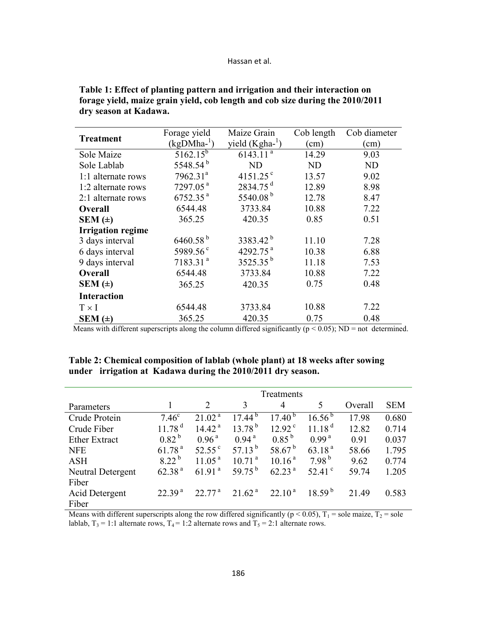#### Hassan et al.

| <b>Treatment</b>         | Forage yield         | Maize Grain            | Cob length | Cob diameter  |  |
|--------------------------|----------------------|------------------------|------------|---------------|--|
|                          | $(kgDMha^{-1})$      | yield $(Kgha^{-1})$    | (cm)       | $\text{cm}$ ) |  |
| Sole Maize               | $5162.15^{b}$        | $6143.11^{a}$          | 14.29      | 9.03          |  |
| Sole Lablab              | 5548.54 <sup>b</sup> | <b>ND</b>              | <b>ND</b>  | <b>ND</b>     |  |
| 1:1 alternate rows       | 7962.31 <sup>a</sup> | 4151.25 $^{\circ}$     | 13.57      | 9.02          |  |
| 1:2 alternate rows       | 7297.05 <sup>a</sup> | $2834.75$ <sup>d</sup> | 12.89      | 8.98          |  |
| 2:1 alternate rows       | 6752.35 <sup>a</sup> | 5540.08 $^{\rm b}$     | 12.78      | 8.47          |  |
| <b>Overall</b>           | 6544.48              | 3733.84                | 10.88      | 7.22          |  |
| SEM $(\pm)$              | 365.25               | 420.35                 | 0.85       | 0.51          |  |
| <b>Irrigation regime</b> |                      |                        |            |               |  |
| 3 days interval          | $6460.58^{b}$        | 3383.42 <sup>b</sup>   | 11.10      | 7.28          |  |
| 6 days interval          | 5989.56 <sup>c</sup> | 4292.75 <sup>a</sup>   | 10.38      | 6.88          |  |
| 9 days interval          | 7183.31 <sup>a</sup> | $3525.35^{b}$          | 11.18      | 7.53          |  |
| <b>Overall</b>           | 6544.48              | 3733.84                | 10.88      | 7.22          |  |
| SEM $(\pm)$              | 365.25               | 420.35                 | 0.75       | 0.48          |  |
| <b>Interaction</b>       |                      |                        |            |               |  |
| $T \times I$             | 6544.48              | 3733.84                | 10.88      | 7.22          |  |
| SEM $( \pm )$            | 365.25               | 420.35                 | 0.75       | 0.48          |  |

**Table 1: Effect of planting pattern and irrigation and their interaction on forage yield, maize grain yield, cob length and cob size during the 2010/2011 dry season at Kadawa.** 

Means with different superscripts along the column differed significantly ( $p < 0.05$ ); ND = not determined.

|                      | Treatments         |                    |                    |                    |                    |         |            |  |  |
|----------------------|--------------------|--------------------|--------------------|--------------------|--------------------|---------|------------|--|--|
| Parameters           |                    | 2                  | 3                  | $\overline{4}$     | 5                  | Overall | <b>SEM</b> |  |  |
| Crude Protein        | $7.46^{\circ}$     | 21.02 <sup>a</sup> | $17.44^{b}$        | $17.40^{b}$        | $16.56^{b}$        | 17.98   | 0.680      |  |  |
| Crude Fiber          | 11.78 <sup>d</sup> | 14.42 <sup>a</sup> | $13.78^{b}$        | $12.92^{\circ}$    | 11.18 <sup>d</sup> | 12.82   | 0.714      |  |  |
| <b>Ether Extract</b> | $0.82^{b}$         | 0.96 <sup>a</sup>  | 0.94 <sup>a</sup>  | $0.85^{b}$         | 0.99 <sup>a</sup>  | 0.91    | 0.037      |  |  |
| <b>NFE</b>           | 61.78 <sup>a</sup> | $52.55^{\circ}$    | 57.13 $^{\rm b}$   | 58.67 $^{\rm b}$   | 63.18 <sup>a</sup> | 58.66   | 1.795      |  |  |
| <b>ASH</b>           | 8 22 <sup>b</sup>  | 11.05 <sup>a</sup> | 10.71 <sup>a</sup> | 10.16 <sup>a</sup> | 7.98 <sup>b</sup>  | 9.62    | 0.774      |  |  |
| Neutral Detergent    | 62.38 <sup>a</sup> | 61.91 <sup>a</sup> | 59 75 $^{\rm b}$   | 62.23 <sup>a</sup> | 52.41 $^{\circ}$   | 59.74   | 1.205      |  |  |
| Fiber                |                    |                    |                    |                    |                    |         |            |  |  |
| Acid Detergent       | 2239 <sup>a</sup>  | $22\,77^{\rm a}$   | 21.62 <sup>a</sup> | $22.10^{\text{a}}$ | $18.59^{b}$        | 21.49   | 0.583      |  |  |
| Fiber                |                    |                    |                    |                    |                    |         |            |  |  |

**Table 2: Chemical composition of lablab (whole plant) at 18 weeks after sowing under irrigation at Kadawa during the 2010/2011 dry season.** 

Means with different superscripts along the row differed significantly ( $p < 0.05$ ),  $T_1$  = sole maize,  $T_2$  = sole lablab,  $T_3 = 1:1$  alternate rows,  $T_4 = 1:2$  alternate rows and  $T_5 = 2:1$  alternate rows.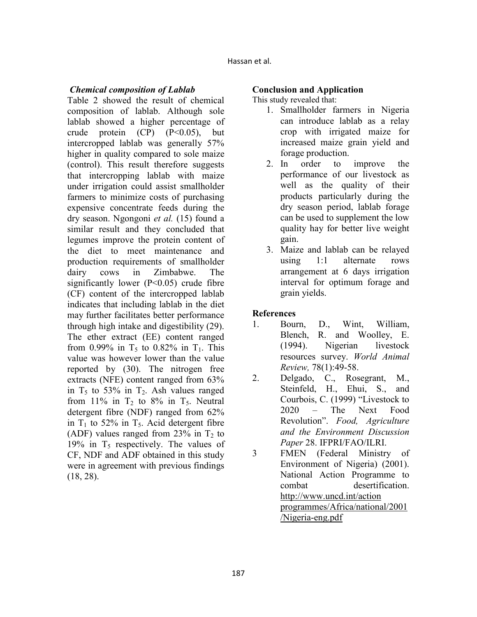### *Chemical composition of Lablab*

Table 2 showed the result of chemical composition of lablab. Although sole lablab showed a higher percentage of crude protein  $(CP)$   $(P<0.05)$ , but intercropped lablab was generally 57% higher in quality compared to sole maize (control). This result therefore suggests that intercropping lablab with maize under irrigation could assist smallholder farmers to minimize costs of purchasing expensive concentrate feeds during the dry season. Ngongoni *et al.* (15) found a similar result and they concluded that legumes improve the protein content of the diet to meet maintenance and production requirements of smallholder dairy cows in Zimbabwe. The significantly lower  $(P<0.05)$  crude fibre (CF) content of the intercropped lablab indicates that including lablab in the diet may further facilitates better performance through high intake and digestibility (29). The ether extract (EE) content ranged from 0.99% in  $T_5$  to 0.82% in  $T_1$ . This value was however lower than the value reported by (30). The nitrogen free extracts (NFE) content ranged from 63% in  $T_5$  to 53% in  $T_2$ . Ash values ranged from 11% in  $T_2$  to 8% in  $T_5$ . Neutral detergent fibre (NDF) ranged from 62% in  $T_1$  to 52% in  $T_5$ . Acid detergent fibre (ADF) values ranged from  $23\%$  in T<sub>2</sub> to 19% in  $T_5$  respectively. The values of CF, NDF and ADF obtained in this study were in agreement with previous findings (18, 28).

## **Conclusion and Application**

This study revealed that:

- 1. Smallholder farmers in Nigeria can introduce lablab as a relay crop with irrigated maize for increased maize grain yield and forage production.
- 2. In order to improve the performance of our livestock as well as the quality of their products particularly during the dry season period, lablab forage can be used to supplement the low quality hay for better live weight gain.
- 3. Maize and lablab can be relayed using 1:1 alternate rows arrangement at 6 days irrigation interval for optimum forage and grain yields.

## **References**

- 1. Bourn, D., Wint, William, Blench, R. and Woolley, E. (1994). Nigerian livestock resources survey. *World Animal Review,* 78(1):49-58.
- 2. Delgado, C., Rosegrant, M., Steinfeld, H., Ehui, S., and Courbois, C. (1999) "Livestock to 2020 – The Next Food Revolution". *Food, Agriculture and the Environment Discussion Paper* 28. IFPRI/FAO/ILRI.
- 3 FMEN (Federal Ministry of Environment of Nigeria) (2001). National Action Programme to combat desertification. http://www.uncd.int/action programmes/Africa/national/2001 /Nigeria-eng.pdf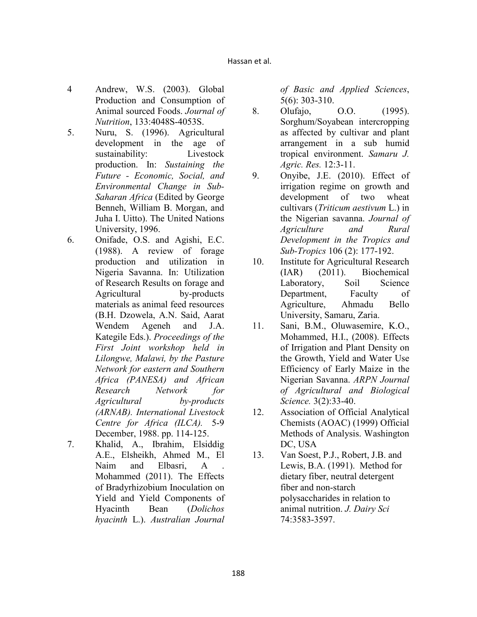- 4 Andrew, W.S. (2003). Global Production and Consumption of Animal sourced Foods. *Journal of utrition*, 133:4048S-4053S.
- 5. Nuru, S. (1996). Agricultural development in the age of sustainability: Livestock production. In: *Sustaining the Future - Economic, Social, and Environmental Change in Sub-Saharan Africa* (Edited by George Benneh, William B. Morgan, and Juha I. Uitto). The United Nations University, 1996.
- 6. Onifade, O.S. and Agishi, E.C. (1988). A review of forage production and utilization in Nigeria Savanna. In: Utilization of Research Results on forage and Agricultural by-products materials as animal feed resources (B.H. Dzowela, A.N. Said, Aarat Wendem Ageneh and J.A. Kategile Eds.). *Proceedings of the First Joint workshop held in Lilongwe, Malawi, by the Pasture*  **Network for eastern and Southern** *Africa (PAESA) and African Research Network for Agricultural by-products (ARAB). International Livestock Centre for Africa (ILCA).* 5-9 December, 1988. pp. 114-125.
- 7. Khalid, A., Ibrahim, Elsiddig A.E., Elsheikh, Ahmed M., El Naim and Elbasri, A. Mohammed (2011). The Effects of Bradyrhizobium Inoculation on Yield and Yield Components of Hyacinth Bean (*Dolichos hyacinth* L.). *Australian Journal*

*of Basic and Applied Sciences*, 5(6): 303-310.

- 8. Olufajo, O.O. (1995). Sorghum/Soyabean intercropping as affected by cultivar and plant arrangement in a sub humid tropical environment. *Samaru J. Agric. Res.* 12:3-11.
- 9. Onyibe, J.E. (2010). Effect of irrigation regime on growth and development of two wheat cultivars (*Triticum aestivum* L.) in the Nigerian savanna. *Journal of Agriculture and Rural Development in the Tropics and Sub-Tropics* 106 (2): 177-192.
- 10. Institute for Agricultural Research (IAR) (2011). Biochemical Laboratory, Soil Science Department, Faculty of Agriculture, Ahmadu Bello University, Samaru, Zaria.
- 11. Sani, B.M., Oluwasemire, K.O., Mohammed, H.I., (2008). Effects of Irrigation and Plant Density on the Growth, Yield and Water Use Efficiency of Early Maize in the Nigerian Savanna. **ARPN** Journal *of Agricultural and Biological Science.* 3(2):33-40.
- 12. Association of Official Analytical Chemists (AOAC) (1999) Official Methods of Analysis. Washington DC, USA
- 13. Van Soest, P.J., Robert, J.B. and Lewis, B.A. (1991). Method for dietary fiber, neutral detergent fiber and non-starch polysaccharides in relation to animal nutrition. *J. Dairy Sci*  74:3583-3597.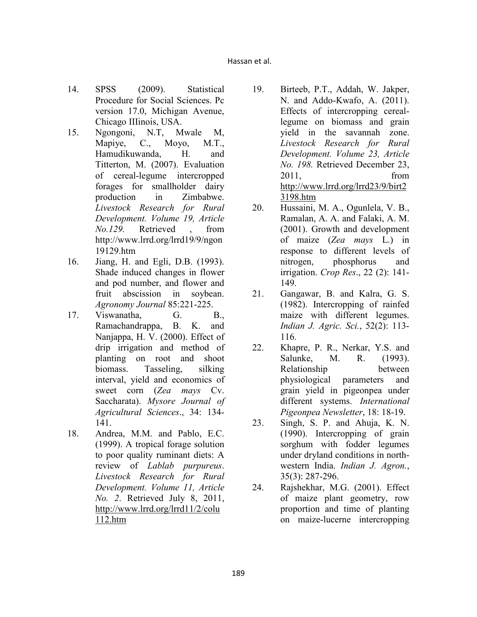- 14. SPSS (2009). Statistical Procedure for Social Sciences. Pc version 17.0, Michigan Avenue, Chicago IIIinois, USA.
- 15. Ngongoni, N.T, Mwale M, Mapiye, C., Moyo, M.T., Hamudikuwanda, H. and Titterton, M. (2007). Evaluation of cereal-legume intercropped forages for smallholder dairy production in Zimbabwe. *Livestock Research for Rural Development. Volume 19, Article o.129.* Retrieved , from http://www.lrrd.org/lrrd19/9/ngon 19129.htm
- 16. Jiang, H. and Egli, D.B. (1993). Shade induced changes in flower and pod number, and flower and fruit abscission in soybean. *Agronomy Journal* 85:221-225.
- 17. Viswanatha, G. B., Ramachandrappa, B. K. and Nanjappa, H. V. (2000). Effect of drip irrigation and method of planting on root and shoot biomass. Tasseling, silking interval, yield and economics of sweet corn (*Zea mays* Cv. Saccharata). *Mysore Journal of Agricultural Sciences*., 34: 134- 141.
- 18. Andrea, M.M. and Pablo, E.C. (1999). A tropical forage solution to poor quality ruminant diets: A review of *Lablab purpureus*. *Livestock Research for Rural Development. Volume 11, Article o. 2*. Retrieved July 8, 2011, http://www.lrrd.org/lrrd11/2/colu 112.htm
- 19. Birteeb, P.T., Addah, W. Jakper, N. and Addo-Kwafo, A. (2011). Effects of intercropping cereallegume on biomass and grain yield in the savannah zone. *Livestock Research for Rural Development. Volume 23, Article o. 198.* Retrieved December 23, 2011, from http://www.lrrd.org/lrrd23/9/birt2 3198.htm
- 20. Hussaini, M. A., Ogunlela, V. B., Ramalan, A. A. and Falaki, A. M. (2001). Growth and development of maize (*Zea mays* L.) in response to different levels of nitrogen, phosphorus and irrigation. *Crop Res*., 22 (2): 141- 149.
- 21. Gangawar, B. and Kalra, G. S. (1982). Intercropping of rainfed maize with different legumes. *Indian J. Agric. Sci.*, 52(2): 113- 116.
- 22. Khapre, P. R., Nerkar, Y.S. and Salunke, M. R. (1993). Relationship between physiological parameters and grain yield in pigeonpea under different systems. *International Pigeonpea Newsletter*, 18: 18-19.
- 23. Singh, S. P. and Ahuja, K. N. (1990). Intercropping of grain sorghum with fodder legumes under dryland conditions in northwestern India. *Indian J. Agron.*, 35(3): 287-296.
- 24. Rajshekhar, M.G. (2001). Effect of maize plant geometry, row proportion and time of planting on maize-lucerne intercropping